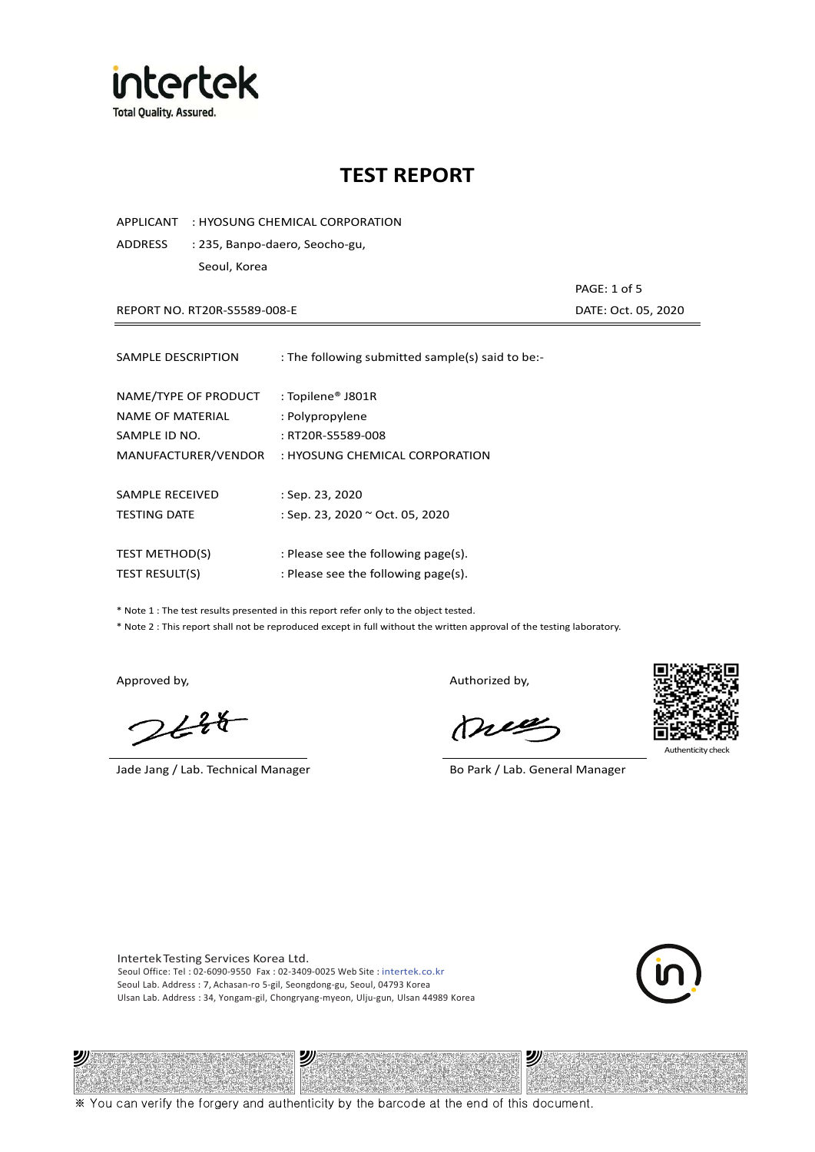

APPLICANT : HYOSUNG CHEMICAL CORPORATION

ADDRESS : 235, Banpo-daero, Seocho-gu, Seoul, Korea

REPORT NO. RT20R-S5589-008-E

| PAGE: 1 of 5        |
|---------------------|
| DATE: Oct. 05, 2020 |

| SAMPLE DESCRIPTION    | : The following submitted sample(s) said to be:- |
|-----------------------|--------------------------------------------------|
| NAME/TYPE OF PRODUCT  | : Topilene® J801R                                |
| NAME OF MATERIAL      | : Polypropylene                                  |
| SAMPLE ID NO.         | : RT20R-S5589-008                                |
| MANUFACTURER/VENDOR   | : HYOSUNG CHEMICAL CORPORATION                   |
| SAMPLE RECEIVED       | : Sep. 23, 2020                                  |
| <b>TESTING DATE</b>   | : Sep. 23, 2020 ~ Oct. 05, 2020                  |
| <b>TEST METHOD(S)</b> | : Please see the following page(s).              |
| <b>TEST RESULT(S)</b> | : Please see the following page(s).              |

\* Note 1 : The test results presented in this report refer only to the object tested.

\* Note 2 : This report shall not be reproduced except in full without the written approval of the testing laboratory.

沙

 $2648$ 

Jade Jang / Lab. Technical Manager Bo Park / Lab. General Manager

Approved by, and the state of the control of the Authorized by,

Mie



沙

Intertek Testing Services Korea Ltd. Seoul Office: Tel : 02-6090-9550 Fax : 02-3409-0025 Web Site : intertek.co.kr Seoul Lab. Address : 7, Achasan-ro 5-gil, Seongdong-gu, Seoul, 04793 Korea Ulsan Lab. Address : 34, Yongam-gil, Chongryang-myeon, Ulju-gun, Ulsan 44989 Korea

沙



※ You can verify the forgery and authenticity by the barcode at the end of this document.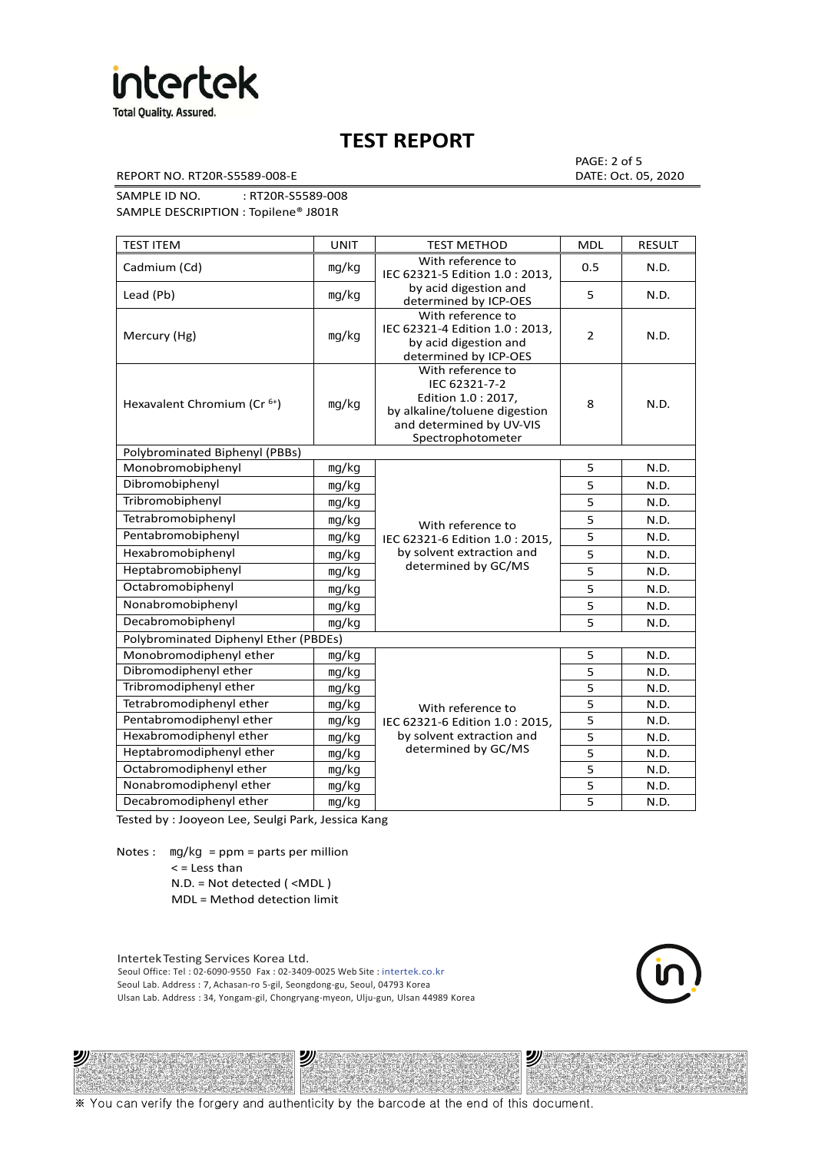

REPORT NO. RT20R-S5589-008-E DATE: Oct. 05, 2020

PAGE: 2 of 5

SAMPLE ID NO. : RT20R-S5589-008 SAMPLE DESCRIPTION : Topilene® J801R

TEST ITEM TEST IN TEST METHOD NOLL RESULT Cadmium (Cd) ㎎/㎏ With reference to IEC 62321-5 Edition 1.0 : 2013, by acid digestion and determined by ICP-OES 0.5 N.D. Lead (Pb)  $\log/kg$   $\log kg$  and digestion and  $\log k$  superiority of  $\log k$  or  $\log k$  5  $\log k$  N.D. Mercury (Hg) ㎎/㎏ With reference to IEC 62321-4 Edition 1.0 : 2013, by acid digestion and determined by ICP-OES 2 N.D. Hexavalent Chromium (Cr<sup>6+</sup>) | mg/kg With reference to IEC 62321-7-2 Edition 1.0 : 2017, by alkaline/toluene digestion and determined by UV-VIS Spectrophotometer 8 N.D. Polybrominated Biphenyl (PBBs) Monobromobiphenyl ng/kg With reference to Pentabromobiphenyl mg/kg IEC 62321-6 Edition 1.0 : 2015, 5 N.D. Hexabromobiphenyl | <sub>mg/kg</sub> | by solvent extraction and | 5 | N.D. determined by GC/MS 5 N.D. Dibromobiphenyl ㎎/㎏ 5 N.D. Tribromobiphenyl and ma/kg 5 N.D. Tetrabromobiphenyl mg/kg N/ith reference to 5 N.D. Heptabromobiphenyl  $\log kq$  determined by GC/MS  $\vert$  5 N.D. Octabromobiphenyl ng/kg 5 N.D. Nonabromobiphenyl mg/kg 5 N.D. Decabromobiphenyl ng/kg 5 N.D. Polybrominated Diphenyl Ether (PBDEs) Monobromodiphenyl ether ng/kg With reference to Pentabromodiphenyl ether  $\parallel$  mg/kg  $\parallel$  IEC 62321-6 Edition 1.0 : 2015,  $\parallel$  5 N.D. by solvent extraction and determined by GC/MS 5 N.D. Dibromodiphenyl ether mg/kg<br>Tribromodiphenyl ether mg/kg<br>5 N.D. Tribromodiphenyl ether and ma/kg b and the state of the state of the state of the state of the state of the state of the state of the state of the state of the state of the state of the state of the state of the state of t Tetrabromodiphenyl ether | mg/kg With reference to 5 | N.D. Hexabromodiphenyl ether  $\vert$  mg/kg  $\vert$  by solvent extraction and  $\vert$  5 N.D. Heptabromodiphenyl ether ㎎/㎏ 5 N.D. Octabromodiphenyl ether ng/kg 1 mg/kg 5 N.D. Nonabromodiphenyl ether | mg/kg | 1999 5 N.D. Decabromodiphenyl ether  $\vert$  mg/kg  $\vert$  5 N.D.

Tested by : Jooyeon Lee, Seulgi Park, Jessica Kang

Notes : mg/kg = ppm = parts per million < = Less than

ツバ

N.D. = Not detected ( <MDL )

MDL = Method detection limit

Intertek Testing Services Korea Ltd. Seoul Office: Tel : 02-6090-9550 Fax : 02-3409-0025 Web Site : intertek.co.kr Seoul Lab. Address : 7, Achasan-ro 5-gil, Seongdong-gu, Seoul, 04793 Korea Ulsan Lab. Address : 34, Yongam-gil, Chongryang-myeon, Ulju-gun, Ulsan 44989 Korea

沙



沙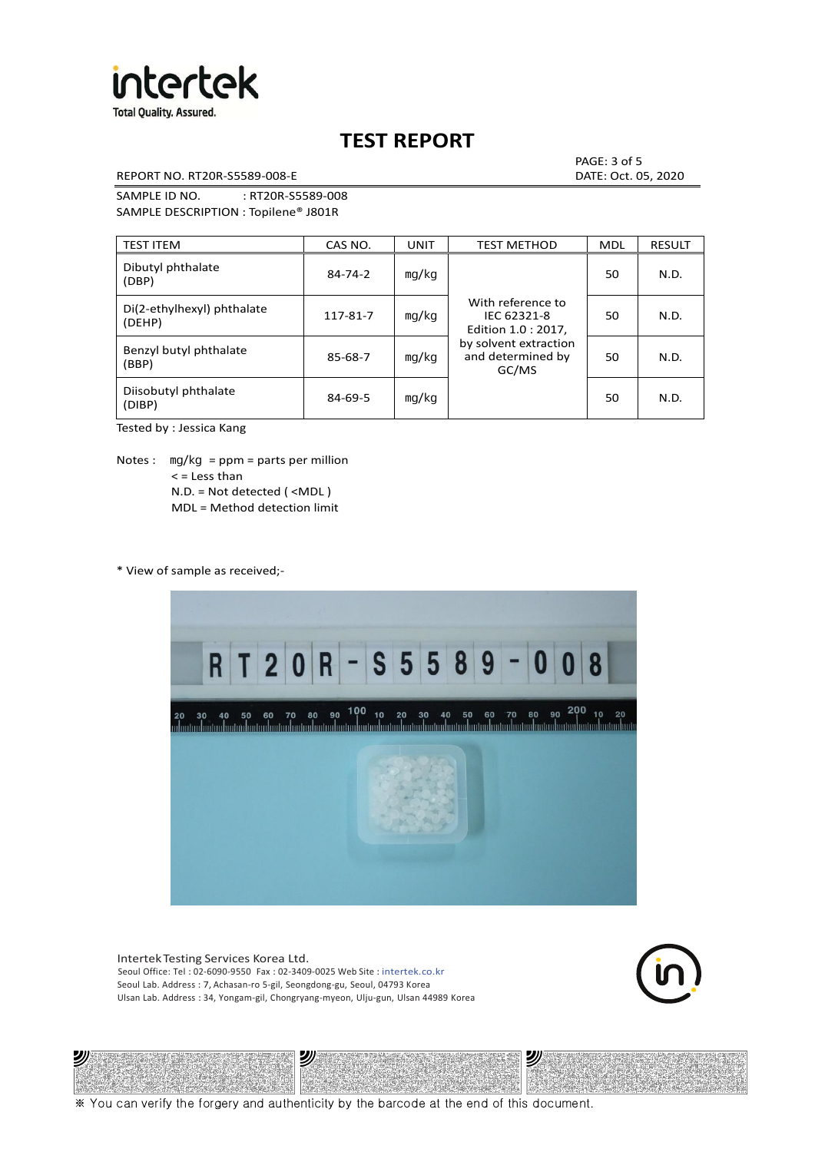

REPORT NO. RT20R-S5589-008-E DATE: Oct. 05, 2020

PAGE: 3 of 5

SAMPLE ID NO. : RT20R-S5589-008 SAMPLE DESCRIPTION : Topilene® J801R

| <b>TEST ITEM</b>                     | CAS NO.       | <b>UNIT</b> | <b>TEST METHOD</b>                                      | <b>MDL</b> | <b>RESULT</b> |
|--------------------------------------|---------------|-------------|---------------------------------------------------------|------------|---------------|
| Dibutyl phthalate<br>(DBP)           | $84 - 74 - 2$ | mg/kg       | With reference to<br>IEC 62321-8<br>Edition 1.0 : 2017, | 50         | N.D.          |
| Di(2-ethylhexyl) phthalate<br>(DEHP) | 117-81-7      | mg/kg       |                                                         | 50         | N.D.          |
| Benzyl butyl phthalate<br>(BBP)      | 85-68-7       | mg/kg       | by solvent extraction<br>and determined by<br>GC/MS     | 50         | N.D.          |
| Diisobutyl phthalate<br>(DIBP)       | $84 - 69 - 5$ | mg/kg       |                                                         | 50         | N.D.          |

Tested by : Jessica Kang

Notes : mg/kg = ppm = parts per million  $<$  = Less than N.D. = Not detected ( <MDL ) MDL = Method detection limit

\* View of sample as received;-

沙



Intertek Testing Services Korea Ltd. Seoul Office: Tel : 02-6090-9550 Fax : 02-3409-0025 Web Site : intertek.co.kr Seoul Lab. Address : 7, Achasan-ro 5-gil, Seongdong-gu, Seoul, 04793 Korea Ulsan Lab. Address : 34, Yongam-gil, Chongryang-myeon, Ulju-gun, Ulsan 44989 Korea

沙



沙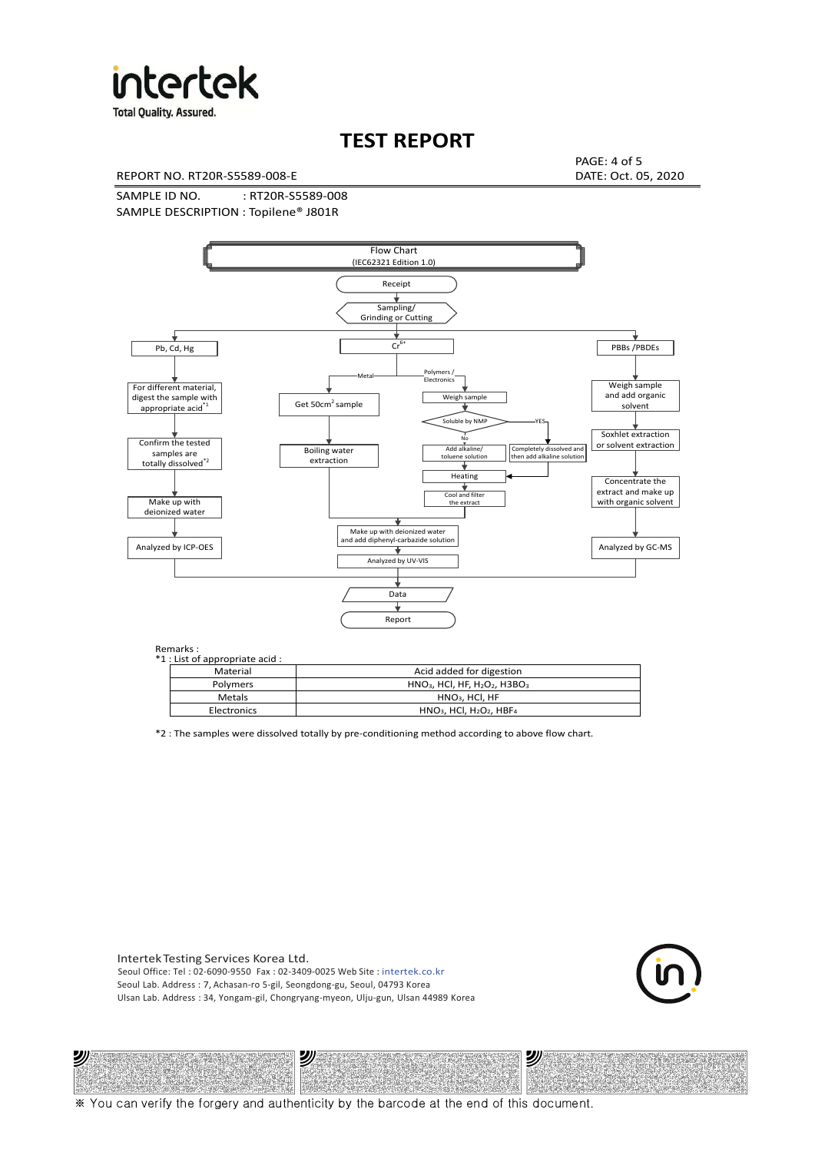

**Total Quality. Assured.** 

## **TEST REPORT**

REPORT NO. RT20R-S5589-008-E DATE: Oct. 05, 2020

PAGE: 4 of 5

SAMPLE ID NO. : RT20R-S5589-008 SAMPLE DESCRIPTION : Topilene® J801R



| *1 : List of appropriate acid : |                                                                     |  |  |  |  |
|---------------------------------|---------------------------------------------------------------------|--|--|--|--|
| Material                        | Acid added for digestion                                            |  |  |  |  |
| <b>Polymers</b>                 | $HNO3$ , HCl, HF, H <sub>2</sub> O <sub>2</sub> , H3BO <sub>3</sub> |  |  |  |  |
| Metals                          | $HNO3$ , HCl, HF                                                    |  |  |  |  |
| Electronics                     | $HNO3$ , HCl, H <sub>2</sub> O <sub>2</sub> , HBF <sub>4</sub>      |  |  |  |  |

\*2 : The samples were dissolved totally by pre-conditioning method according to above flow chart.

Intertek Testing Services Korea Ltd. Seoul Office: Tel : 02-6090-9550 Fax : 02-3409-0025 Web Site : intertek.co.kr Seoul Lab. Address : 7, Achasan-ro 5-gil, Seongdong-gu, Seoul, 04793 Korea Ulsan Lab. Address : 34, Yongam-gil, Chongryang-myeon, Ulju-gun, Ulsan 44989 Korea

沙

沙



沙